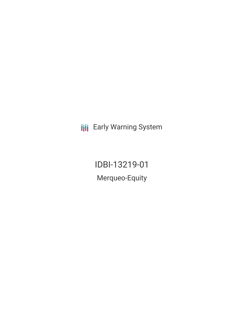**III** Early Warning System

IDBI-13219-01 Merqueo-Equity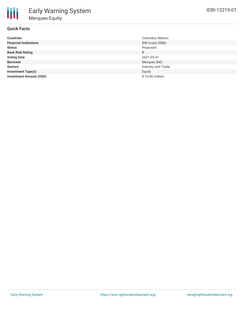

# **Quick Facts**

| <b>Countries</b>               | Colombia, Mexico   |
|--------------------------------|--------------------|
| <b>Financial Institutions</b>  | IDB Invest (IDBI)  |
| <b>Status</b>                  | Proposed           |
| <b>Bank Risk Rating</b>        | B                  |
| <b>Voting Date</b>             | 2021-03-31         |
| <b>Borrower</b>                | Merqueo SAS        |
| <b>Sectors</b>                 | Industry and Trade |
| <b>Investment Type(s)</b>      | Equity             |
| <b>Investment Amount (USD)</b> | \$10.00 million    |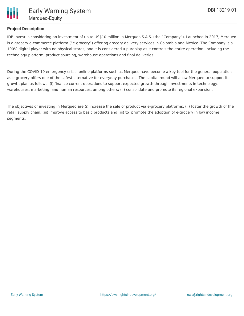

### **Project Description**

IDB Invest is considering an investment of up to US\$10 million in Merqueo S.A.S. (the "Company"). Launched in 2017, Merqueo is a grocery e-commerce platform ("e-grocery") offering grocery delivery services in Colombia and Mexico. The Company is a 100% digital player with no physical stores, and it is considered a pureplay as it controls the entire operation, including the technology platform, product sourcing, warehouse operations and final deliveries.

During the COVID-19 emergency crisis, online platforms such as Merqueo have become a key tool for the general population as e-grocery offers one of the safest alternative for everyday purchases. The capital round will allow Merqueo to support its growth plan as follows: (i) finance current operations to support expected growth through investments in technology, warehouses, marketing, and human resources, among others; (ii) consolidate and promote its regional expansion.

The objectives of investing in Merqueo are (i) increase the sale of product via e-grocery platforms, (ii) foster the growth of the retail supply chain, (iii) improve access to basic products and (iii) to promote the adoption of e-grocery in low income segments.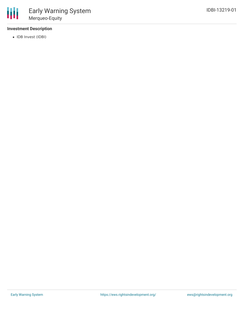## **Investment Description**

• IDB Invest (IDBI)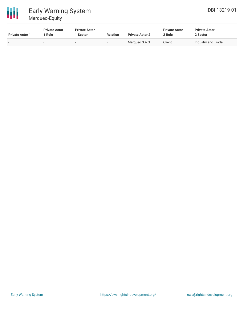

| <b>Private Actor 1</b> | <b>Private Actor</b><br>  Role | <b>Private Actor</b><br>1 Sector | <b>Relation</b>          | <b>Private Actor 2</b> | <b>Private Actor</b><br>2 Role | <b>Private Actor</b><br>2 Sector |
|------------------------|--------------------------------|----------------------------------|--------------------------|------------------------|--------------------------------|----------------------------------|
| $\sim$                 | -                              | $\sim$                           | $\overline{\phantom{a}}$ | Mergueo S.A.S          | Client                         | Industry and Trade               |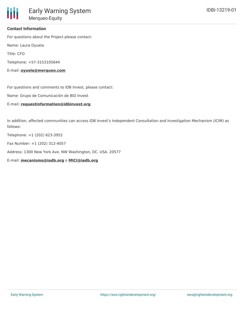### **Contact Information**

For questions about the Project please contact:

Name: Laura Oyuela

Títle: CFO

Telephone: +57-3153105644

E-mail: **oyuela@merqueo.com**

For questions and comments to IDB Invest, please contact:

Name: Grupo de Comunicación de BID Invest

#### E-mail: **requestinformation@idbinvest.org**

In addition, affected communities can access IDB Invest's Independent Consultation and Investigation Mechanism (ICIM) as follows:

Telephone: +1 (202) 623-3952

Fax Number: +1 (202) 312-4057

Address: 1300 New York Ave. NW Washington, DC. USA. 20577

E-mail: **mecanismo@iadb.org** o **MICI@iadb.org**